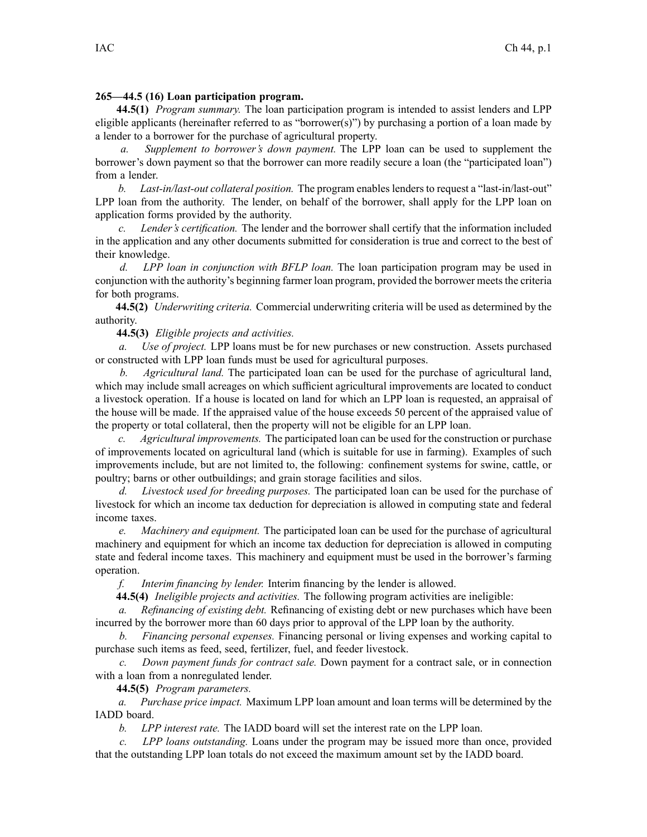## **265—44.5 (16) Loan participation program.**

**44.5(1)** *Program summary.* The loan participation program is intended to assist lenders and LPP eligible applicants (hereinafter referred to as "borrower(s)") by purchasing <sup>a</sup> portion of <sup>a</sup> loan made by <sup>a</sup> lender to <sup>a</sup> borrower for the purchase of agricultural property.

*a. Supplement to borrower's down payment.* The LPP loan can be used to supplement the borrower's down paymen<sup>t</sup> so that the borrower can more readily secure <sup>a</sup> loan (the "participated loan") from <sup>a</sup> lender.

*b. Last-in/last-out collateral position.* The program enables lenders to reques<sup>t</sup> <sup>a</sup> "last-in/last-out" LPP loan from the authority. The lender, on behalf of the borrower, shall apply for the LPP loan on application forms provided by the authority.

*c. Lender's certification.* The lender and the borrower shall certify that the information included in the application and any other documents submitted for consideration is true and correct to the best of their knowledge.

*d. LPP loan in conjunction with BFLP loan.* The loan participation program may be used in conjunction with the authority's beginning farmer loan program, provided the borrower meets the criteria for both programs.

**44.5(2)** *Underwriting criteria.* Commercial underwriting criteria will be used as determined by the authority.

**44.5(3)** *Eligible projects and activities.*

*a. Use of project.* LPP loans must be for new purchases or new construction. Assets purchased or constructed with LPP loan funds must be used for agricultural purposes.

*b. Agricultural land.* The participated loan can be used for the purchase of agricultural land, which may include small acreages on which sufficient agricultural improvements are located to conduct <sup>a</sup> livestock operation. If <sup>a</sup> house is located on land for which an LPP loan is requested, an appraisal of the house will be made. If the appraised value of the house exceeds 50 percen<sup>t</sup> of the appraised value of the property or total collateral, then the property will not be eligible for an LPP loan.

*c. Agricultural improvements.* The participated loan can be used for the construction or purchase of improvements located on agricultural land (which is suitable for use in farming). Examples of such improvements include, but are not limited to, the following: confinement systems for swine, cattle, or poultry; barns or other outbuildings; and grain storage facilities and silos.

*d. Livestock used for breeding purposes.* The participated loan can be used for the purchase of livestock for which an income tax deduction for depreciation is allowed in computing state and federal income taxes.

*e. Machinery and equipment.* The participated loan can be used for the purchase of agricultural machinery and equipment for which an income tax deduction for depreciation is allowed in computing state and federal income taxes. This machinery and equipment must be used in the borrower's farming operation.

*f. Interim financing by lender.* Interim financing by the lender is allowed.

**44.5(4)** *Ineligible projects and activities.* The following program activities are ineligible:

*a. Refinancing of existing debt.* Refinancing of existing debt or new purchases which have been incurred by the borrower more than 60 days prior to approval of the LPP loan by the authority.

*b. Financing personal expenses.* Financing personal or living expenses and working capital to purchase such items as feed, seed, fertilizer, fuel, and feeder livestock.

*c. Down paymen<sup>t</sup> funds for contract sale.* Down paymen<sup>t</sup> for <sup>a</sup> contract sale, or in connection with <sup>a</sup> loan from <sup>a</sup> nonregulated lender.

**44.5(5)** *Program parameters.*

*a. Purchase price impact.* Maximum LPP loan amount and loan terms will be determined by the IADD board.

*b. LPP interest rate.* The IADD board will set the interest rate on the LPP loan.

*c. LPP loans outstanding.* Loans under the program may be issued more than once, provided that the outstanding LPP loan totals do not exceed the maximum amount set by the IADD board.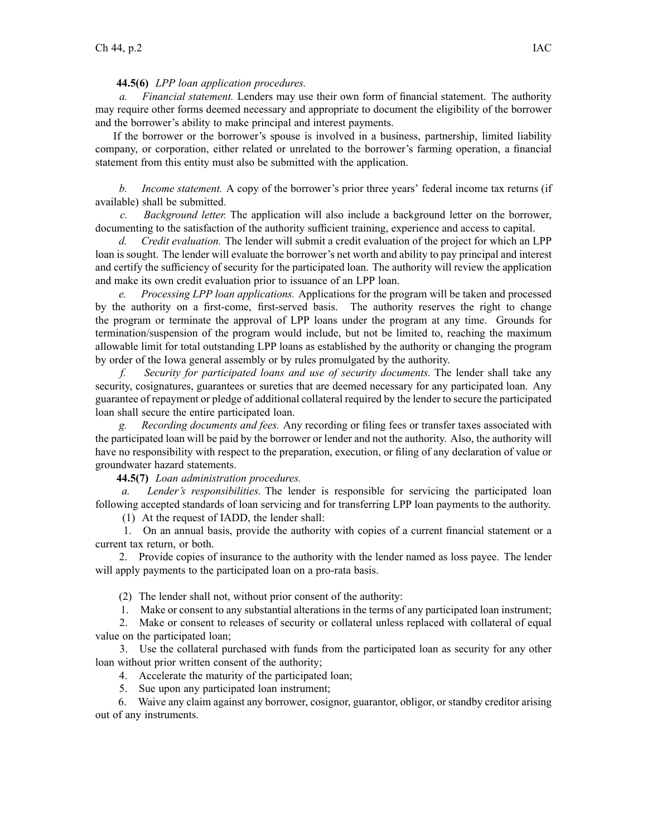## **44.5(6)** *LPP loan application procedures.*

*a. Financial statement.* Lenders may use their own form of financial statement. The authority may require other forms deemed necessary and appropriate to document the eligibility of the borrower and the borrower's ability to make principal and interest payments.

If the borrower or the borrower's spouse is involved in <sup>a</sup> business, partnership, limited liability company, or corporation, either related or unrelated to the borrower's farming operation, <sup>a</sup> financial statement from this entity must also be submitted with the application.

*b. Income statement.* A copy of the borrower's prior three years' federal income tax returns (if available) shall be submitted.

*c. Background letter.* The application will also include <sup>a</sup> background letter on the borrower, documenting to the satisfaction of the authority sufficient training, experience and access to capital.

*d. Credit evaluation.* The lender will submit <sup>a</sup> credit evaluation of the project for which an LPP loan is sought. The lender will evaluate the borrower's net worth and ability to pay principal and interest and certify the sufficiency of security for the participated loan. The authority will review the application and make its own credit evaluation prior to issuance of an LPP loan.

*e. Processing LPP loan applications.* Applications for the program will be taken and processed by the authority on <sup>a</sup> first-come, first-served basis. The authority reserves the right to change the program or terminate the approval of LPP loans under the program at any time. Grounds for termination/suspension of the program would include, but not be limited to, reaching the maximum allowable limit for total outstanding LPP loans as established by the authority or changing the program by order of the Iowa general assembly or by rules promulgated by the authority.

*f. Security for participated loans and use of security documents.* The lender shall take any security, cosignatures, guarantees or sureties that are deemed necessary for any participated loan. Any guarantee of repaymen<sup>t</sup> or pledge of additional collateral required by the lender to secure the participated loan shall secure the entire participated loan.

*g. Recording documents and fees.* Any recording or filing fees or transfer taxes associated with the participated loan will be paid by the borrower or lender and not the authority. Also, the authority will have no responsibility with respec<sup>t</sup> to the preparation, execution, or filing of any declaration of value or groundwater hazard statements.

**44.5(7)** *Loan administration procedures.*

*a. Lender's responsibilities.* The lender is responsible for servicing the participated loan following accepted standards of loan servicing and for transferring LPP loan payments to the authority.

(1) At the reques<sup>t</sup> of IADD, the lender shall:

1. On an annual basis, provide the authority with copies of <sup>a</sup> current financial statement or <sup>a</sup> current tax return, or both.

2. Provide copies of insurance to the authority with the lender named as loss payee. The lender will apply payments to the participated loan on <sup>a</sup> pro-rata basis.

(2) The lender shall not, without prior consent of the authority:

1. Make or consent to any substantial alterations in the terms of any participated loan instrument;

2. Make or consent to releases of security or collateral unless replaced with collateral of equal value on the participated loan;

3. Use the collateral purchased with funds from the participated loan as security for any other loan without prior written consent of the authority;

4. Accelerate the maturity of the participated loan;

5. Sue upon any participated loan instrument;

6. Waive any claim against any borrower, cosignor, guarantor, obligor, or standby creditor arising out of any instruments.